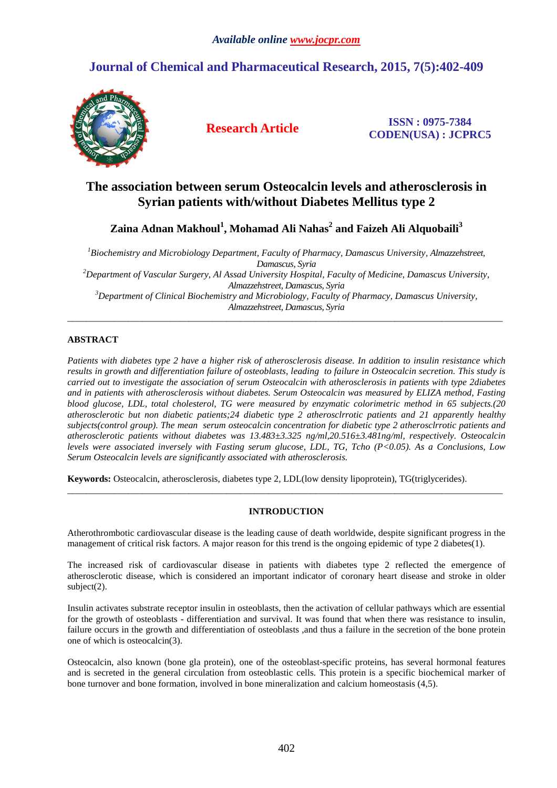# **Journal of Chemical and Pharmaceutical Research, 2015, 7(5):402-409**



**Research Article ISSN : 0975-7384 CODEN(USA) : JCPRC5**

## **The association between serum Osteocalcin levels and atherosclerosis in Syrian patients with/without Diabetes Mellitus type 2**

**Zaina Adnan Makhoul<sup>1</sup> , Mohamad Ali Nahas<sup>2</sup> and Faizeh Ali Alquobaili<sup>3</sup>**

*<sup>1</sup>Biochemistry and Microbiology Department, Faculty of Pharmacy, Damascus University, Almazzehstreet, Damascus, Syria <sup>2</sup>Department of Vascular Surgery, Al Assad University Hospital, Faculty of Medicine, Damascus University, Almazzehstreet, Damascus, Syria <sup>3</sup>Department of Clinical Biochemistry and Microbiology, Faculty of Pharmacy, Damascus University, Almazzehstreet, Damascus, Syria* 

\_\_\_\_\_\_\_\_\_\_\_\_\_\_\_\_\_\_\_\_\_\_\_\_\_\_\_\_\_\_\_\_\_\_\_\_\_\_\_\_\_\_\_\_\_\_\_\_\_\_\_\_\_\_\_\_\_\_\_\_\_\_\_\_\_\_\_\_\_\_\_\_\_\_\_\_\_\_\_\_\_\_\_\_\_\_\_\_\_\_\_\_\_

## **ABSTRACT**

*Patients with diabetes type 2 have a higher risk of atherosclerosis disease. In addition to insulin resistance which results in growth and differentiation failure of osteoblasts, leading to failure in Osteocalcin secretion. This study is carried out to investigate the association of serum Osteocalcin with atherosclerosis in patients with type 2diabetes and in patients with atherosclerosis without diabetes. Serum Osteocalcin was measured by ELIZA method, Fasting blood glucose, LDL, total cholesterol, TG were measured by enzymatic colorimetric method in 65 subjects.(20 atherosclerotic but non diabetic patients;24 diabetic type 2 atherosclrrotic patients and 21 apparently healthy subjects(control group). The mean serum osteocalcin concentration for diabetic type 2 atherosclrrotic patients and atherosclerotic patients without diabetes was 13.483±3.325 ng/ml,20.516±3.481ng/ml, respectively. Osteocalcin levels were associated inversely with Fasting serum glucose, LDL, TG, Tcho (P<0.05). As a Conclusions, Low Serum Osteocalcin levels are significantly associated with atherosclerosis.* 

**Keywords:** Osteocalcin, atherosclerosis, diabetes type 2, LDL(low density lipoprotein), TG(triglycerides).

### **INTRODUCTION**

\_\_\_\_\_\_\_\_\_\_\_\_\_\_\_\_\_\_\_\_\_\_\_\_\_\_\_\_\_\_\_\_\_\_\_\_\_\_\_\_\_\_\_\_\_\_\_\_\_\_\_\_\_\_\_\_\_\_\_\_\_\_\_\_\_\_\_\_\_\_\_\_\_\_\_\_\_\_\_\_\_\_\_\_\_\_\_\_\_\_\_\_\_

Atherothrombotic cardiovascular disease is the leading cause of death worldwide, despite significant progress in the management of critical risk factors. A major reason for this trend is the ongoing epidemic of type 2 diabetes(1).

The increased risk of cardiovascular disease in patients with diabetes type 2 reflected the emergence of atherosclerotic disease, which is considered an important indicator of coronary heart disease and stroke in older subject(2).

Insulin activates substrate receptor insulin in osteoblasts, then the activation of cellular pathways which are essential for the growth of osteoblasts - differentiation and survival. It was found that when there was resistance to insulin, failure occurs in the growth and differentiation of osteoblasts ,and thus a failure in the secretion of the bone protein one of which is osteocalcin(3).

Osteocalcin, also known (bone gla protein), one of the osteoblast-specific proteins, has several hormonal features and is secreted in the general circulation from osteoblastic cells. This protein is a specific biochemical marker of bone turnover and bone formation, involved in bone mineralization and calcium homeostasis (4,5).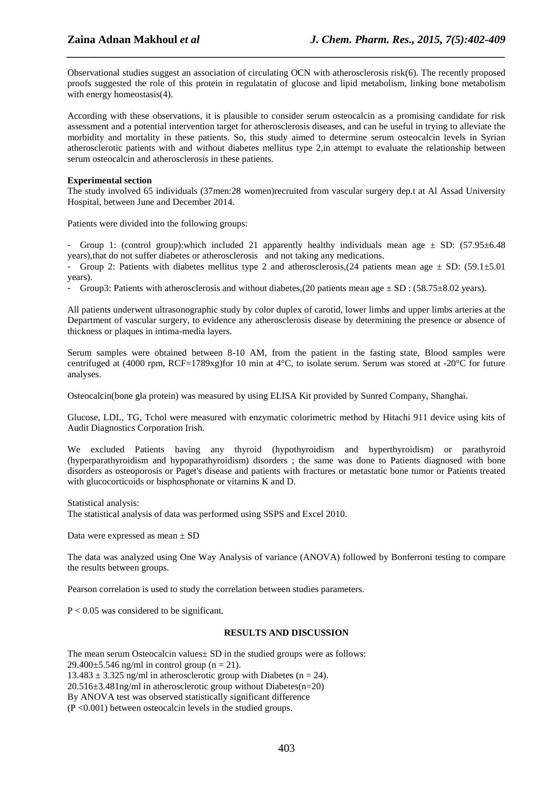Observational studies suggest an association of circulating OCN with atherosclerosis risk(6). The recently proposed proofs suggested the role of this protein in regulatatin of glucose and lipid metabolism, linking bone metabolism with energy homeostasis(4).

*\_\_\_\_\_\_\_\_\_\_\_\_\_\_\_\_\_\_\_\_\_\_\_\_\_\_\_\_\_\_\_\_\_\_\_\_\_\_\_\_\_\_\_\_\_\_\_\_\_\_\_\_\_\_\_\_\_\_\_\_\_\_\_\_\_\_\_\_\_\_\_\_\_\_\_\_\_\_*

According with these observations, it is plausible to consider serum osteocalcin as a promising candidate for risk assessment and a potential intervention target for atherosclerosis diseases, and can be useful in trying to alleviate the morbidity and mortality in these patients. So, this study aimed to determine serum osteocalcin levels in Syrian atherosclerotic patients with and without diabetes mellitus type 2,in attempt to evaluate the relationship between serum osteocalcin and atherosclerosis in these patients.

#### **Experimental section**

The study involved 65 individuals (37men:28 women)recruited from vascular surgery dep.t at Al Assad University Hospital, between June and December 2014.

Patients were divided into the following groups:

- Group 1: (control group):which included 21 apparently healthy individuals mean age  $\pm$  SD: (57.95 $\pm$ 6.48) years),that do not suffer diabetes or atherosclerosis and not taking any medications.

Group 2: Patients with diabetes mellitus type 2 and atherosclerosis, (24 patients mean age  $\pm$  SD: (59.1 $\pm$ 5.01) years).

- Group3: Patients with atherosclerosis and without diabetes,(20 patients mean age ± SD : (58.75±8.02 years).

All patients underwent ultrasonographic study by color duplex of carotid, lower limbs and upper limbs arteries at the Department of vascular surgery, to evidence any atherosclerosis disease by determining the presence or absence of thickness or plaques in intima-media layers.

Serum samples were obtained between 8-10 AM, from the patient in the fasting state, Blood samples were centrifuged at (4000 rpm, RCF=1789xg)for 10 min at 4°C, to isolate serum. Serum was stored at -20°C for future analyses.

Osteocalcin(bone gla protein) was measured by using ELISA Kit provided by Sunred Company, Shanghai.

Glucose, LDL, TG, Tchol were measured with enzymatic colorimetric method by Hitachi 911 device using kits of Audit Diagnostics Corporation Irish.

We excluded Patients having any thyroid (hypothyroidism and hyperthyroidism) or parathyroid (hyperparathyroidism and hypoparathyroidism) disorders ; the same was done to Patients diagnosed with bone disorders as osteoporosis or Paget's disease and patients with fractures or metastatic bone tumor or Patients treated with glucocorticoids or bisphosphonate or vitamins K and D.

Statistical analysis:

The statistical analysis of data was performed using SSPS and Excel 2010.

Data were expressed as mean ± SD

The data was analyzed using One Way Analysis of variance (ANOVA) followed by Bonferroni testing to compare the results between groups.

Pearson correlation is used to study the correlation between studies parameters.

 $P < 0.05$  was considered to be significant.

#### **RESULTS AND DISCUSSION**

The mean serum Osteocalcin values  $\pm$  SD in the studied groups were as follows: 29.400 $\pm$ 5.546 ng/ml in control group (n = 21).  $13.483 \pm 3.325$  ng/ml in atherosclerotic group with Diabetes (n = 24). 20.516±3.481ng/ml in atherosclerotic group without Diabetes(n=20) By ANOVA test was observed statistically significant difference (P <0.001) between osteocalcin levels in the studied groups.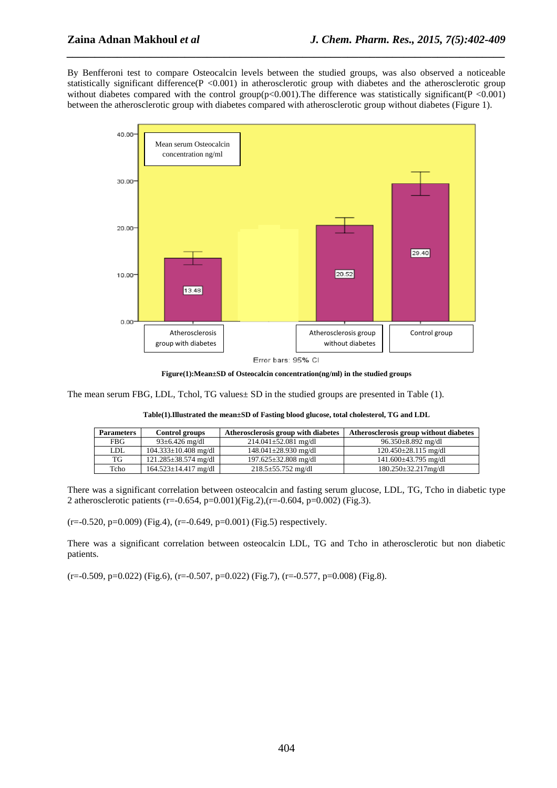By Benfferoni test to compare Osteocalcin levels between the studied groups, was also observed a noticeable statistically significant difference( $P < 0.001$ ) in atherosclerotic group with diabetes and the atherosclerotic group without diabetes compared with the control group( $p<0.001$ ). The difference was statistically significant( $P$  <0.001) between the atherosclerotic group with diabetes compared with atherosclerotic group without diabetes (Figure 1).

*\_\_\_\_\_\_\_\_\_\_\_\_\_\_\_\_\_\_\_\_\_\_\_\_\_\_\_\_\_\_\_\_\_\_\_\_\_\_\_\_\_\_\_\_\_\_\_\_\_\_\_\_\_\_\_\_\_\_\_\_\_\_\_\_\_\_\_\_\_\_\_\_\_\_\_\_\_\_*



**Figure(1):Mean±SD of Osteocalcin concentration(ng/ml) in the studied groups** 

The mean serum FBG, LDL, Tchol, TG values $\pm$  SD in the studied groups are presented in Table (1).

| Table(1). Illustrated the mean ±SD of Fasting blood glucose, total cholesterol, TG and LDL |
|--------------------------------------------------------------------------------------------|
|--------------------------------------------------------------------------------------------|

| <b>Parameters</b> | Control groups             | Atherosclerosis group with diabetes | Atherosclerosis group without diabetes |
|-------------------|----------------------------|-------------------------------------|----------------------------------------|
| <b>FBG</b>        | $93 \pm 6.426$ mg/dl       | $214.041 \pm 52.081$ mg/dl          | $96.350 \pm 8.892$ mg/dl               |
| LDL               | $104.333 \pm 10.408$ mg/dl | $148.041 \pm 28.930$ mg/dl          | $120.450 \pm 28.115$ mg/dl             |
| TG                | $121.285 \pm 38.574$ mg/dl | $197.625 \pm 32.808$ mg/dl          | $141.600\pm43.795$ mg/dl               |
| Tcho              | $164.523 \pm 14.417$ mg/dl | $218.5 \pm 55.752$ mg/dl            | $180.250 \pm 32.217$ mg/dl             |

There was a significant correlation between osteocalcin and fasting serum glucose, LDL, TG, Tcho in diabetic type 2 atherosclerotic patients (r=-0.654, p=0.001)(Fig.2),(r=-0.604, p=0.002) (Fig.3).

 $(r=0.520, p=0.009)$  (Fig.4),  $(r=0.649, p=0.001)$  (Fig.5) respectively.

There was a significant correlation between osteocalcin LDL, TG and Tcho in atherosclerotic but non diabetic patients.

(r=-0.509, p=0.022) (Fig.6), (r=-0.507, p=0.022) (Fig.7), (r=-0.577, p=0.008) (Fig.8).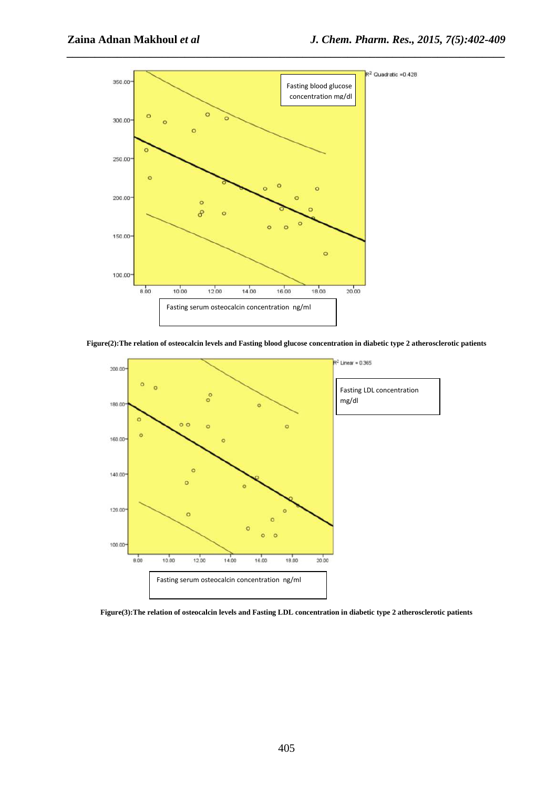





**Figure(3):The relation of osteocalcin levels and Fasting LDL concentration in diabetic type 2 atherosclerotic patients**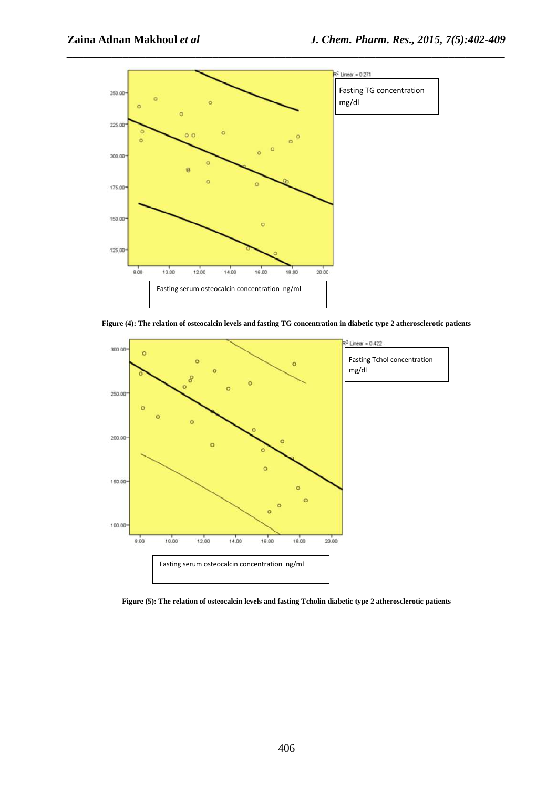

**Figure (4): The relation of osteocalcin levels and fasting TG concentration in diabetic type 2 atherosclerotic patients** 



**Figure (5): The relation of osteocalcin levels and fasting Tcholin diabetic type 2 atherosclerotic patients**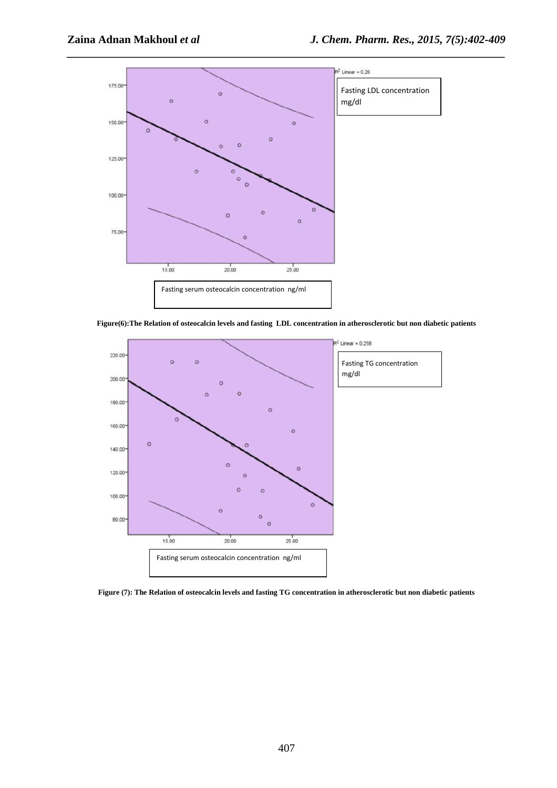

**Figure(6):The Relation of osteocalcin levels and fasting LDL concentration in atherosclerotic but non diabetic patients** 



**Figure (7): The Relation of osteocalcin levels and fasting TG concentration in atherosclerotic but non diabetic patients**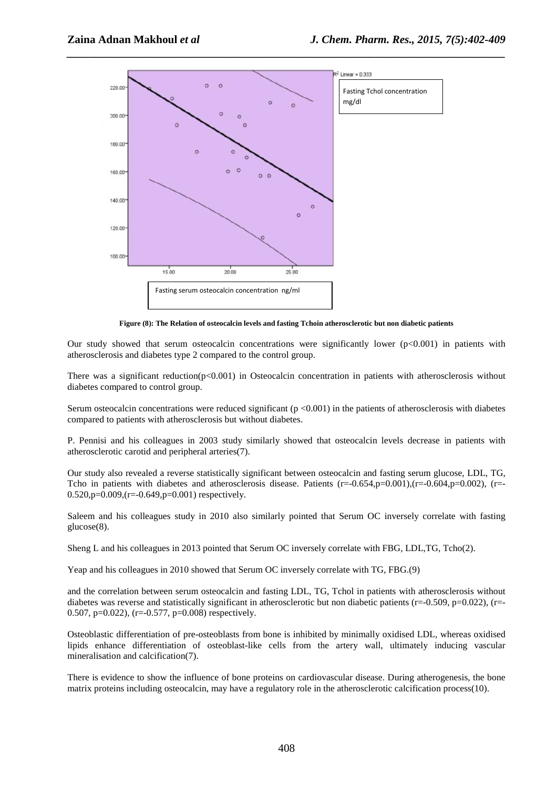

**Figure (8): The Relation of osteocalcin levels and fasting Tchoin atherosclerotic but non diabetic patients** 

Our study showed that serum osteocalcin concentrations were significantly lower  $(p<0.001)$  in patients with atherosclerosis and diabetes type 2 compared to the control group.

There was a significant reduction( $p<0.001$ ) in Osteocalcin concentration in patients with atherosclerosis without diabetes compared to control group.

Serum osteocalcin concentrations were reduced significant  $(p < 0.001)$  in the patients of atherosclerosis with diabetes compared to patients with atherosclerosis but without diabetes.

P. Pennisi and his colleagues in 2003 study similarly showed that osteocalcin levels decrease in patients with atherosclerotic carotid and peripheral arteries(7).

Our study also revealed a reverse statistically significant between osteocalcin and fasting serum glucose, LDL, TG, Tcho in patients with diabetes and atherosclerosis disease. Patients  $(r=-0.654, p=0.001), (r=-0.604, p=0.002), (r=-0.604, p=0.002)$  $0.520$ ,  $p=0.009$ ,  $(r=-0.649)$ ,  $p=0.001$  respectively.

Saleem and his colleagues study in 2010 also similarly pointed that Serum OC inversely correlate with fasting glucose(8).

Sheng L and his colleagues in 2013 pointed that Serum OC inversely correlate with FBG, LDL,TG, Tcho(2).

Yeap and his colleagues in 2010 showed that Serum OC inversely correlate with TG, FBG.(9)

and the correlation between serum osteocalcin and fasting LDL, TG, Tchol in patients with atherosclerosis without diabetes was reverse and statistically significant in atherosclerotic but non diabetic patients (r=-0.509, p=0.022), (r=-0.507, p=0.022), (r=-0.577, p=0.008) respectively.

Osteoblastic differentiation of pre-osteoblasts from bone is inhibited by minimally oxidised LDL, whereas oxidised lipids enhance differentiation of osteoblast-like cells from the artery wall, ultimately inducing vascular mineralisation and calcification(7).

There is evidence to show the influence of bone proteins on cardiovascular disease. During atherogenesis, the bone matrix proteins including osteocalcin, may have a regulatory role in the atherosclerotic calcification process(10).